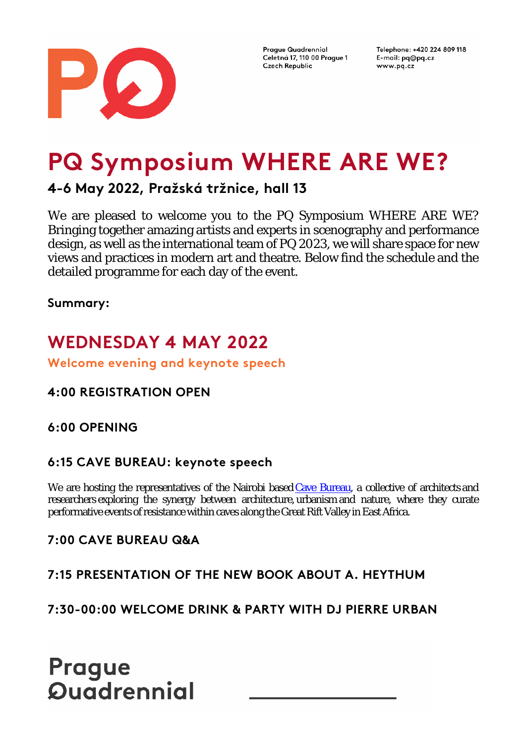

Telephone: +420 224 809 118 E-mail: pq@pq.cz www.pq.cz

# **PQ Symposium WHERE ARE WE?**

**4-6 May 2022, Pražská tržnice, hall 13**

We are pleased to welcome you to the PQ Symposium WHERE ARE WE? Bringing together amazing artists and experts in scenography and performance design, as well as the international team of PQ 2023, we will share space for new views and practices in modern art and theatre. Below find the schedule and the detailed programme for each day of the event.

**Summary:**

# **WEDNESDAY 4 MAY 2022**

**Welcome evening and keynote speech**

# **4:00 REGISTRATION OPEN**

## **6:00 OPENING**

### **6:15 CAVE BUREAU: keynote speech**

We are hosting the representatives of the Nairobi based Cave Bureau, a collective of architects and researchers exploring the synergy between architecture, urbanism and nature, where they curate performative events of resistance within caves along the Great Rift Valley in East Africa.

## **7:00 CAVE BUREAU Q&A**

## **7:15 PRESENTATION OF THE NEW BOOK ABOUT A. HEYTHUM**

**7:30-00:00 WELCOME DRINK & PARTY WITH DJ PIERRE URBAN**

# **Prague Quadrennial**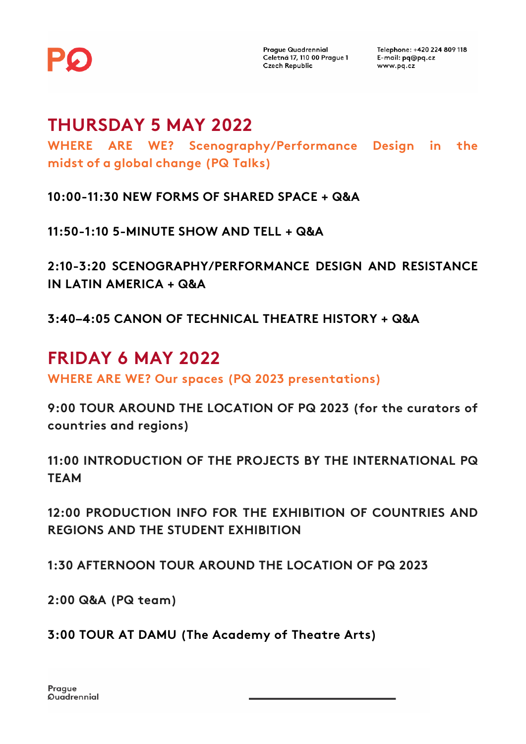

Telephone: +420 224 809 118 E-mail: pg@pg.cz www.pq.cz

# **THURSDAY 5 MAY 2022**

**WHERE ARE WE? Scenography/Performance Design in the midst of a global change (PQ Talks)**

**10:00-11:30 NEW FORMS OF SHARED SPACE + Q&A**

**11:50-1:10 5-MINUTE SHOW AND TELL + Q&A**

**2:10-3:20 SCENOGRAPHY/PERFORMANCE DESIGN AND RESISTANCE IN LATIN AMERICA + Q&A**

**3:40–4:05 CANON OF TECHNICAL THEATRE HISTORY + Q&A**

# **FRIDAY 6 MAY 2022**

**WHERE ARE WE? Our spaces (PQ 2023 presentations)**

**9:00 TOUR AROUND THE LOCATION OF PQ 2023 (for the curators of countries and regions)**

**11:00 INTRODUCTION OF THE PROJECTS BY THE INTERNATIONAL PQ TEAM**

**12:00 PRODUCTION INFO FOR THE EXHIBITION OF COUNTRIES AND REGIONS AND THE STUDENT EXHIBITION**

**1:30 AFTERNOON TOUR AROUND THE LOCATION OF PQ 2023**

**2:00 Q&A (PQ team)**

**3:00 TOUR AT DAMU (The Academy of Theatre Arts)**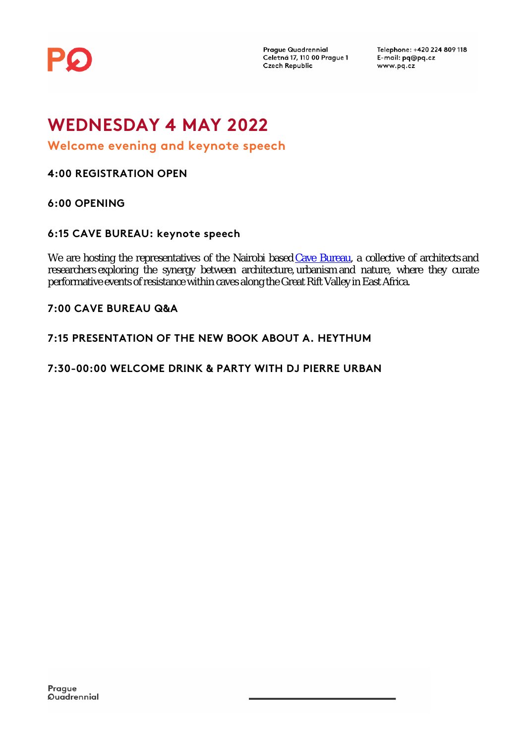

Telephone: +420 224 809 118 E-mail: pq@pq.cz www.pq.cz

# **WEDNESDAY 4 MAY 2022**

**Welcome evening and keynote speech**

**4:00 REGISTRATION OPEN**

**6:00 OPENING**

#### **6:15 CAVE BUREAU: keynote speech**

We are hosting the representatives of the Nairobi based Cave Bureau, a collective of architects and researchers exploring the synergy between architecture, urbanism and nature, where they curate performative events of resistance within caves along the Great Rift Valley in East Africa.

**7:00 CAVE BUREAU Q&A**

**7:15 PRESENTATION OF THE NEW BOOK ABOUT A. HEYTHUM**

**7:30-00:00 WELCOME DRINK & PARTY WITH DJ PIERRE URBAN**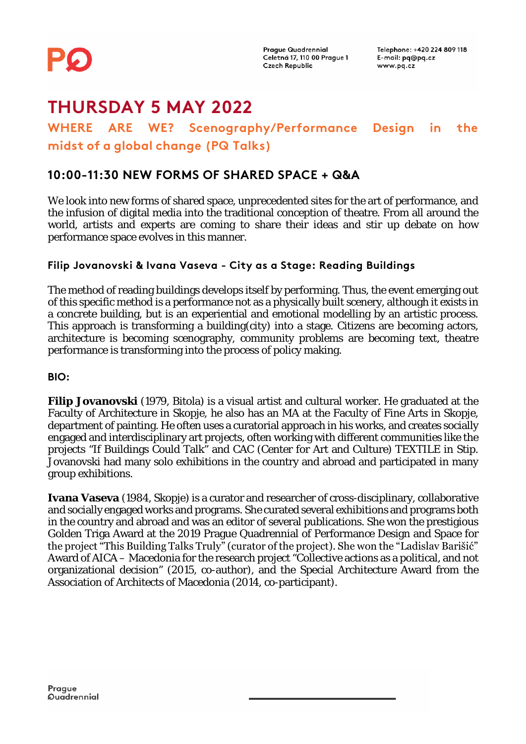

# **THURSDAY 5 MAY 2022**

### **WHERE ARE WE? Scenography/Performance Design in the midst of a global change (PQ Talks)**

### **10:00-11:30 NEW FORMS OF SHARED SPACE + Q&A**

We look into new forms of shared space, unprecedented sites for the art of performance, and the infusion of digital media into the traditional conception of theatre. From all around the world, artists and experts are coming to share their ideas and stir up debate on how performance space evolves in this manner.

#### **Filip Jovanovski & Ivana Vaseva - City as a Stage: Reading Buildings**

The method of reading buildings develops itself by performing. Thus, the event emerging out of this specific method is a performance not as a physically built scenery, although it exists in a concrete building, but is an experiential and emotional modelling by an artistic process. This approach is transforming a building(city) into a stage. Citizens are becoming actors, architecture is becoming scenography, community problems are becoming text, theatre performance is transforming into the process of policy making.

**BIO:**

**Filip Jovanovski** (1979, Bitola) is a visual artist and cultural worker. He graduated at the Faculty of Architecture in Skopje, he also has an MA at the Faculty of Fine Arts in Skopje, department of painting. He often uses a curatorial approach in his works, and creates socially engaged and interdisciplinary art projects, often working with different communities like the projects "If Buildings Could Talk" and CAC (Center for Art and Culture) TEXTILE in Stip. Jovanovski had many solo exhibitions in the country and abroad and participated in many group exhibitions.

**Ivana Vaseva** (1984, Skopje) is a curator and researcher of cross-disciplinary, collaborative and socially engaged works and programs. She curated several exhibitions and programs both in the country and abroad and was an editor of several publications. She won the prestigious Golden Triga Award at the 2019 Prague Quadrennial of Performance Design and Space for the project "This Building Talks Truly" (curator of the project). She won the "Ladislav Barišić" Award of AICA – Macedonia for the research project "Collective actions as a political, and not organizational decision" (2015, co-author), and the Special Architecture Award from the Association of Architects of Macedonia (2014, co-participant).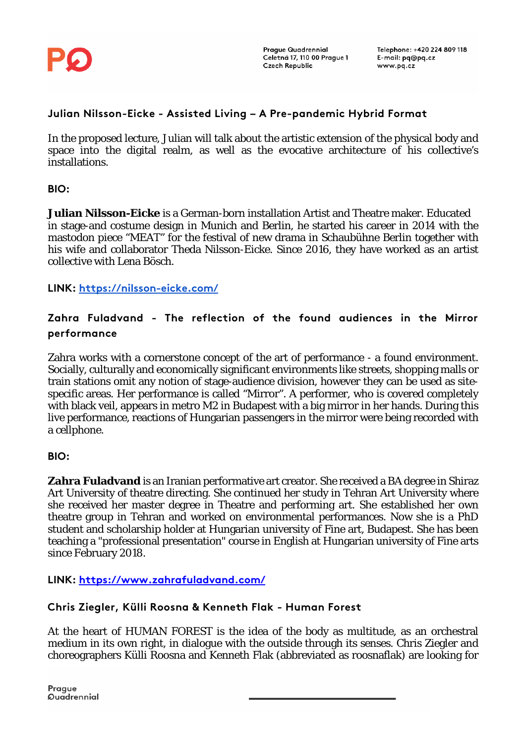

#### **Julian Nilsson-Eicke - Assisted Living – A Pre-pandemic Hybrid Format**

In the proposed lecture, Julian will talk about the artistic extension of the physical body and space into the digital realm, as well as the evocative architecture of his collective's installations.

#### **BIO:**

**Julian Nilsson-Eicke** is a German-born installation Artist and Theatre maker. Educated in stage-and costume design in Munich and Berlin, he started his career in 2014 with the mastodon piece "MEAT" for the festival of new drama in Schaubühne Berlin together with his wife and collaborator Theda Nilsson-Eicke. Since 2016, they have worked as an artist collective with Lena Bösch.

**LINK:<https://nilsson-eicke.com/>**

#### **Zahra Fuladvand - The reflection of the found audiences in the Mirror performance**

Zahra works with a cornerstone concept of the art of performance - a found environment. Socially, culturally and economically significant environments like streets, shopping malls or train stations omit any notion of stage-audience division, however they can be used as sitespecific areas. Her performance is called "Mirror". A performer, who is covered completely with black veil, appears in metro M2 in Budapest with a big mirror in her hands. During this live performance, reactions of Hungarian passengers in the mirror were being recorded with a cellphone.

#### **BIO:**

**Zahra Fuladvand** is an Iranian performative art creator. She received a BA degree in Shiraz Art University of theatre directing. She continued her study in Tehran Art University where she received her master degree in Theatre and performing art. She established her own theatre group in Tehran and worked on environmental performances. Now she is a PhD student and scholarship holder at Hungarian university of Fine art, Budapest. She has been teaching a "professional presentation" course in English at Hungarian university of Fine arts since February 2018.

**LINK:<https://www.zahrafuladvand.com/>**

#### **Chris Ziegler, Külli Roosna & Kenneth Flak - Human Forest**

At the heart of HUMAN FOREST is the idea of the body as multitude, as an orchestral medium in its own right, in dialogue with the outside through its senses. Chris Ziegler and choreographers Külli Roosna and Kenneth Flak (abbreviated as roosnaflak) are looking for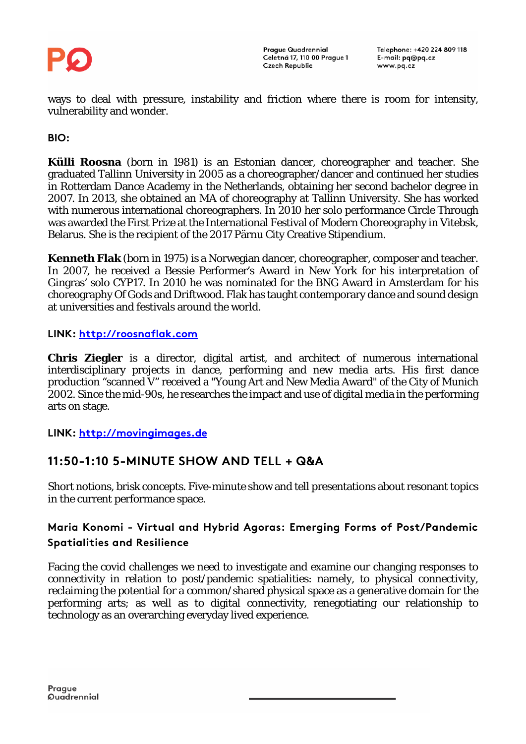

ways to deal with pressure, instability and friction where there is room for intensity, vulnerability and wonder.

#### **BIO:**

**Külli Roosna** (born in 1981) is an Estonian dancer, choreographer and teacher. She graduated Tallinn University in 2005 as a choreographer/dancer and continued her studies in Rotterdam Dance Academy in the Netherlands, obtaining her second bachelor degree in 2007. In 2013, she obtained an MA of choreography at Tallinn University. She has worked with numerous international choreographers. In 2010 her solo performance Circle Through was awarded the First Prize at the International Festival of Modern Choreography in Vitebsk, Belarus. She is the recipient of the 2017 Pärnu City Creative Stipendium.

**Kenneth Flak** (born in 1975) is a Norwegian dancer, choreographer, composer and teacher. In 2007, he received a Bessie Performer's Award in New York for his interpretation of Gingras' solo CYP17. In 2010 he was nominated for the BNG Award in Amsterdam for his choreography Of Gods and Driftwood. Flak has taught contemporary dance and sound design at universities and festivals around the world.

#### **LINK: [http://roosnaflak.com](http://roosnaflak.com/)**

**Chris Ziegler** is a director, digital artist, and architect of numerous international interdisciplinary projects in dance, performing and new media arts. His first dance production "scanned V" received a "Young Art and New Media Award" of the City of Munich 2002. Since the mid-90s, he researches the impact and use of digital media in the performing arts on stage.

**LINK: [http://movingimages.de](http://movingimages.de/)**

### **11:50-1:10 5-MINUTE SHOW AND TELL + Q&A**

Short notions, brisk concepts. Five-minute show and tell presentations about resonant topics in the current performance space.

#### **Maria Konomi - Virtual and Hybrid Agoras: Emerging Forms of Post/Pandemic Spatialities and Resilience**

Facing the covid challenges we need to investigate and examine our changing responses to connectivity in relation to post/pandemic spatialities: namely, to physical connectivity, reclaiming the potential for a common/shared physical space as a generative domain for the performing arts; as well as to digital connectivity, renegotiating our relationship to technology as an overarching everyday lived experience.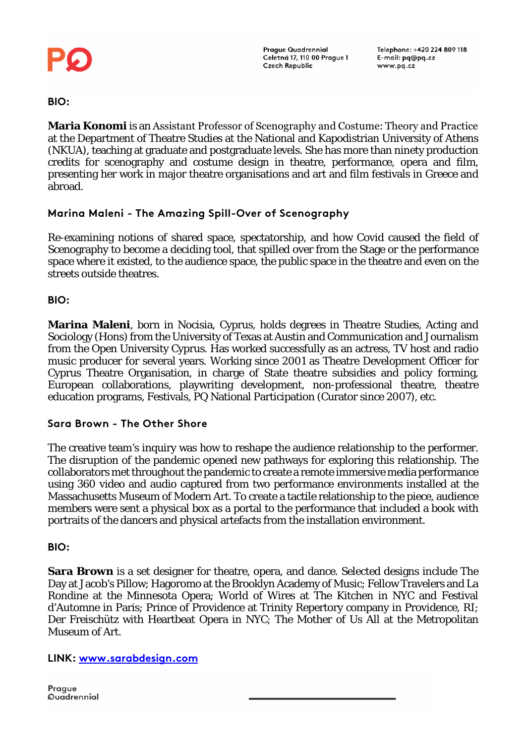

Telephone: +420 224 809 118 E-mail: pg@pg.cz www.pq.cz

**BIO:**

**Maria Konomi** is an Assistant Professor of Scenography and Costume: Τheory and Practice at the Department of Theatre Studies at the National and Kapodistrian University of Athens (NKUA), teaching at graduate and postgraduate levels. She has more than ninety production credits for scenography and costume design in theatre, performance, opera and film, presenting her work in major theatre organisations and art and film festivals in Greece and abroad.

#### **Marina Maleni - The Amazing Spill-Over of Scenography**

Re-examining notions of shared space, spectatorship, and how Covid caused the field of Scenography to become a deciding tool, that spilled over from the Stage or the performance space where it existed, to the audience space, the public space in the theatre and even on the streets outside theatres.

**BIO:**

**Marina Maleni**, born in Nocisia, Cyprus, holds degrees in Theatre Studies, Acting and Sociology (Hons) from the University of Texas at Austin and Communication and Journalism from the Open University Cyprus. Has worked successfully as an actress, TV host and radio music producer for several years. Working since 2001 as Theatre Development Officer for Cyprus Theatre Organisation, in charge of State theatre subsidies and policy forming, European collaborations, playwriting development, non-professional theatre, theatre education programs, Festivals, PQ National Participation (Curator since 2007), etc.

#### **Sara Brown - The Other Shore**

The creative team's inquiry was how to reshape the audience relationship to the performer. The disruption of the pandemic opened new pathways for exploring this relationship. The collaborators met throughout the pandemic to create a remote immersive media performance using 360 video and audio captured from two performance environments installed at the Massachusetts Museum of Modern Art. To create a tactile relationship to the piece, audience members were sent a physical box as a portal to the performance that included a book with portraits of the dancers and physical artefacts from the installation environment.

**BIO:**

**Sara Brown** is a set designer for theatre, opera, and dance. Selected designs include The Day at Jacob's Pillow; Hagoromo at the Brooklyn Academy of Music; Fellow Travelers and La Rondine at the Minnesota Opera; World of Wires at The Kitchen in NYC and Festival d'Automne in Paris; Prince of Providence at Trinity Repertory company in Providence, RI; Der Freischütz with Heartbeat Opera in NYC; The Mother of Us All at the Metropolitan Museum of Art.

**LINK: [www.sarabdesign.com](http://www.sarabdesign.com/)**

Prague **Quadrennial**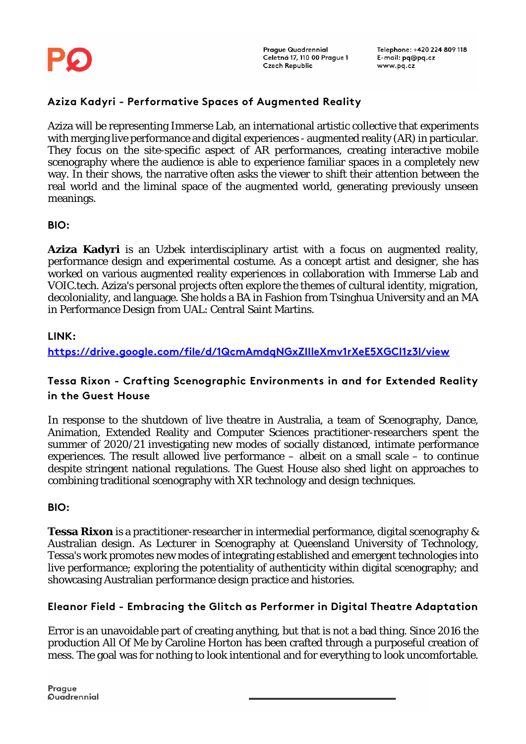

#### **Aziza Kadyri - Performative Spaces of Augmented Reality**

Aziza will be representing Immerse Lab, an international artistic collective that experiments with merging live performance and digital experiences - augmented reality (AR) in particular. They focus on the site-specific aspect of AR performances, creating interactive mobile scenography where the audience is able to experience familiar spaces in a completely new way. In their shows, the narrative often asks the viewer to shift their attention between the real world and the liminal space of the augmented world, generating previously unseen meanings.

**BIO:**

**Aziza Kadyri** is an Uzbek interdisciplinary artist with a focus on augmented reality, performance design and experimental costume. As a concept artist and designer, she has worked on various augmented reality experiences in collaboration with Immerse Lab and VOIC.tech. Aziza's personal projects often explore the themes of cultural identity, migration, decoloniality, and language. She holds a BA in Fashion from Tsinghua University and an MA in Performance Design from UAL: Central Saint Martins.

#### **LINK:**

**<https://drive.google.com/file/d/1QcmAmdqNGxZIIleXmv1rXeE5XGCl1z3l/view>**

#### **Tessa Rixon - Crafting Scenographic Environments in and for Extended Reality in the Guest House**

In response to the shutdown of live theatre in Australia, a team of Scenography, Dance, Animation, Extended Reality and Computer Sciences practitioner-researchers spent the summer of 2020/21 investigating new modes of socially distanced, intimate performance experiences. The result allowed live performance – albeit on a small scale – to continue despite stringent national regulations. The Guest House also shed light on approaches to combining traditional scenography with XR technology and design techniques.

#### **BIO:**

**Tessa Rixon** is a practitioner-researcher in intermedial performance, digital scenography & Australian design. As Lecturer in Scenography at Queensland University of Technology, Tessa's work promotes new modes of integrating established and emergent technologies into live performance; exploring the potentiality of authenticity within digital scenography; and showcasing Australian performance design practice and histories.

#### **Eleanor Field - Embracing the Glitch as Performer in Digital Theatre Adaptation**

Error is an unavoidable part of creating anything, but that is not a bad thing. Since 2016 the production All Of Me by Caroline Horton has been crafted through a purposeful creation of mess. The goal was for nothing to look intentional and for everything to look uncomfortable.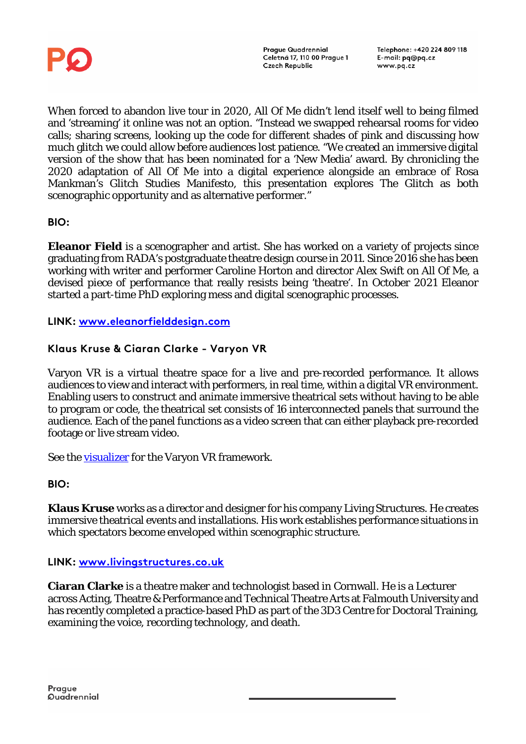

When forced to abandon live tour in 2020, All Of Me didn't lend itself well to being filmed and 'streaming' it online was not an option. "Instead we swapped rehearsal rooms for video calls; sharing screens, looking up the code for different shades of pink and discussing how much glitch we could allow before audiences lost patience. "We created an immersive digital version of the show that has been nominated for a 'New Media' award. By chronicling the 2020 adaptation of All Of Me into a digital experience alongside an embrace of Rosa Mankman's Glitch Studies Manifesto, this presentation explores The Glitch as both scenographic opportunity and as alternative performer."

#### **BIO:**

**Eleanor Field** is a scenographer and artist. She has worked on a variety of projects since graduating from RADA's postgraduate theatre design course in 2011. Since 2016 she has been working with writer and performer Caroline Horton and director Alex Swift on All Of Me, a devised piece of performance that really resists being 'theatre'. In October 2021 Eleanor started a part-time PhD exploring mess and digital scenographic processes.

**LINK: [www.eleanorfielddesign.com](http://www.eleanorfielddesign.com/)**

#### **Klaus Kruse & Ciaran Clarke - Varyon VR**

Varyon VR is a virtual theatre space for a live and pre-recorded performance. It allows audiences to view and interact with performers, in real time, within a digital VR environment. Enabling users to construct and animate immersive theatrical sets without having to be able to program or code, the theatrical set consists of 16 interconnected panels that surround the audience. Each of the panel functions as a video screen that can either playback pre-recorded footage or live stream video.

See the **visualizer** for the Varyon VR framework.

#### **BIO:**

**Klaus Kruse** works as a director and designer for his company Living Structures. He creates immersive theatrical events and installations. His work establishes performance situations in which spectators become enveloped within scenographic structure.

**LINK: [www.livingstructures.co.uk](http://www.livingstructures.co.uk/)**

**Ciaran Clarke** is a theatre maker and technologist based in Cornwall. He is a Lecturer across Acting, Theatre & Performance and Technical Theatre Arts at Falmouth University and has recently completed a practice-based PhD as part of the 3D3 Centre for Doctoral Training, examining the voice, recording technology, and death.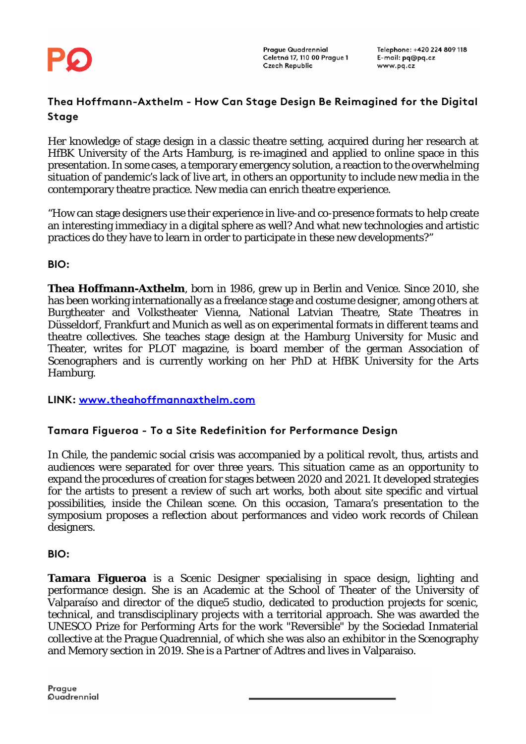

#### **Thea Hoffmann-Axthelm - How Can Stage Design Be Reimagined for the Digital Stage**

Her knowledge of stage design in a classic theatre setting, acquired during her research at HfBK University of the Arts Hamburg, is re-imagined and applied to online space in this presentation. In some cases, a temporary emergency solution, a reaction to the overwhelming situation of pandemic's lack of live art, in others an opportunity to include new media in the contemporary theatre practice. New media can enrich theatre experience.

"How can stage designers use their experience in live-and co-presence formats to help create an interesting immediacy in a digital sphere as well? And what new technologies and artistic practices do they have to learn in order to participate in these new developments?"

**BIO:**

**Thea Hoffmann-Axthelm**, born in 1986, grew up in Berlin and Venice. Since 2010, she has been working internationally as a freelance stage and costume designer, among others at Burgtheater and Volkstheater Vienna, National Latvian Theatre, State Theatres in Düsseldorf, Frankfurt and Munich as well as on experimental formats in different teams and theatre collectives. She teaches stage design at the Hamburg University for Music and Theater, writes for PLOT magazine, is board member of the german Association of Scenographers and is currently working on her PhD at HfBK University for the Arts Hamburg.

**LINK: [www.theahoffmannaxthelm.com](http://www.theahoffmannaxthelm.com/)**

#### **Tamara Figueroa - To a Site Redefinition for Performance Design**

In Chile, the pandemic social crisis was accompanied by a political revolt, thus, artists and audiences were separated for over three years. This situation came as an opportunity to expand the procedures of creation for stages between 2020 and 2021. It developed strategies for the artists to present a review of such art works, both about site specific and virtual possibilities, inside the Chilean scene. On this occasion, Tamara's presentation to the symposium proposes a reflection about performances and video work records of Chilean designers.

**BIO:**

**Tamara Figueroa** is a Scenic Designer specialising in space design, lighting and performance design. She is an Academic at the School of Theater of the University of Valparaíso and director of the dique5 studio, dedicated to production projects for scenic, technical, and transdisciplinary projects with a territorial approach. She was awarded the UNESCO Prize for Performing Arts for the work "Reversible" by the Sociedad Inmaterial collective at the Prague Quadrennial, of which she was also an exhibitor in the Scenography and Memory section in 2019. She is a Partner of Adtres and lives in Valparaiso.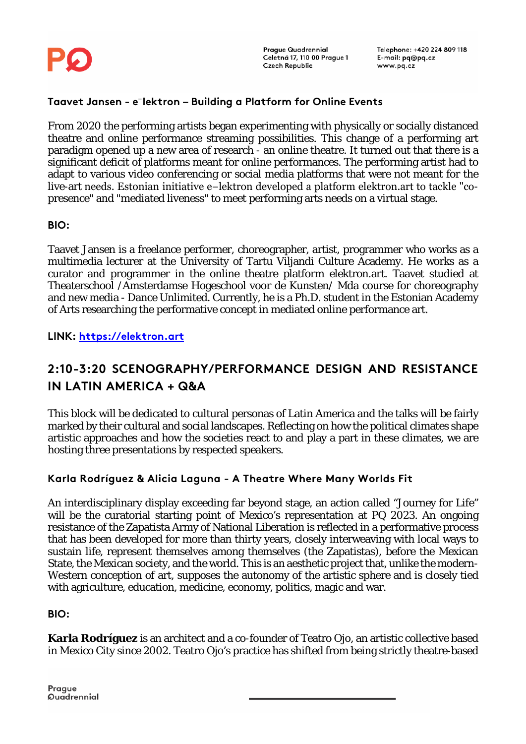

#### **Taavet Jansen - e**⁻**lektron – Building a Platform for Online Events**

From 2020 the performing artists began experimenting with physically or socially distanced theatre and online performance streaming possibilities. This change of a performing art paradigm opened up a new area of research - an online theatre. It turned out that there is a significant deficit of platforms meant for online performances. The performing artist had to adapt to various video conferencing or social media platforms that were not meant for the live-art needs. Estonian initiative e−lektron developed a platform elektron.art to tackle "copresence" and "mediated liveness" to meet performing arts needs on a virtual stage.

#### **BIO:**

Taavet Jansen is a freelance performer, choreographer, artist, programmer who works as a multimedia lecturer at the University of Tartu Viljandi Culture Academy. He works as a curator and programmer in the online theatre platform elektron.art. Taavet studied at Theaterschool /Amsterdamse Hogeschool voor de Kunsten/ Mda course for choreography and new media - Dance Unlimited. Currently, he is a Ph.D. student in the Estonian Academy of Arts researching the performative concept in mediated online performance art.

**LINK: [https://elektron.art](https://elektron.art/)**

# **2:10-3:20 SCENOGRAPHY/PERFORMANCE DESIGN AND RESISTANCE IN LATIN AMERICA + Q&A**

This block will be dedicated to cultural personas of Latin America and the talks will be fairly marked by their cultural and social landscapes. Reflecting on how the political climates shape artistic approaches and how the societies react to and play a part in these climates, we are hosting three presentations by respected speakers.

#### **Karla Rodríguez & Alicia Laguna - A Theatre Where Many Worlds Fit**

An interdisciplinary display exceeding far beyond stage, an action called "Journey for Life" will be the curatorial starting point of Mexico's representation at PQ 2023. An ongoing resistance of the Zapatista Army of National Liberation is reflected in a performative process that has been developed for more than thirty years, closely interweaving with local ways to sustain life, represent themselves among themselves (the Zapatistas), before the Mexican State, the Mexican society, and the world. This is an aesthetic project that, unlike the modern-Western conception of art, supposes the autonomy of the artistic sphere and is closely tied with agriculture, education, medicine, economy, politics, magic and war.

#### **BIO:**

**Karla Rodríguez** is an architect and a co-founder of Teatro Ojo, an artistic collective based in Mexico City since 2002. Teatro Ojo's practice has shifted from being strictly theatre-based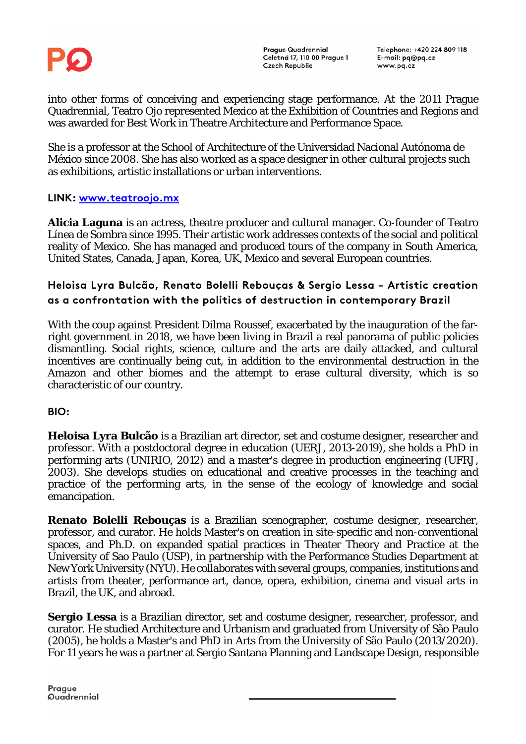

Telephone: +420 224 809 118 E-mail: pg@pg.cz www.pq.cz

into other forms of conceiving and experiencing stage performance. At the 2011 Prague Quadrennial, Teatro Ojo represented Mexico at the Exhibition of Countries and Regions and was awarded for Best Work in Theatre Architecture and Performance Space.

She is a professor at the School of Architecture of the Universidad Nacional Autónoma de México since 2008. She has also worked as a space designer in other cultural projects such as exhibitions, artistic installations or urban interventions.

#### **LINK: [www.teatroojo.mx](http://www.teatroojo.mx/)**

**Alicia Laguna** is an actress, theatre producer and cultural manager. Co-founder of Teatro Línea de Sombra since 1995. Their artistic work addresses contexts of the social and political reality of Mexico. She has managed and produced tours of the company in South America, United States, Canada, Japan, Korea, UK, Mexico and several European countries.

#### **Heloisa Lyra Bulcão, Renato Bolelli Rebouças & Sergio Lessa - Artistic creation as a confrontation with the politics of destruction in contemporary Brazil**

With the coup against President Dilma Roussef, exacerbated by the inauguration of the farright government in 2018, we have been living in Brazil a real panorama of public policies dismantling. Social rights, science, culture and the arts are daily attacked, and cultural incentives are continually being cut, in addition to the environmental destruction in the Amazon and other biomes and the attempt to erase cultural diversity, which is so characteristic of our country.

**BIO:**

**Heloisa Lyra Bulcão** is a Brazilian art director, set and costume designer, researcher and professor. With a postdoctoral degree in education (UERJ, 2013-2019), she holds a PhD in performing arts (UNIRIO, 2012) and a master's degree in production engineering (UFRJ, 2003). She develops studies on educational and creative processes in the teaching and practice of the performing arts, in the sense of the ecology of knowledge and social emancipation.

**Renato Bolelli Rebouças** is a Brazilian scenographer, costume designer, researcher, professor, and curator. He holds Master's on creation in site-specific and non-conventional spaces, and Ph.D. on expanded spatial practices in Theater Theory and Practice at the University of Sao Paulo (USP), in partnership with the Performance Studies Department at New York University (NYU). He collaborates with several groups, companies, institutions and artists from theater, performance art, dance, opera, exhibition, cinema and visual arts in Brazil, the UK, and abroad.

**Sergio Lessa** is a Brazilian director, set and costume designer, researcher, professor, and curator. He studied Architecture and Urbanism and graduated from University of São Paulo (2005), he holds a Master's and PhD in Arts from the University of São Paulo (2013/2020). For 11 years he was a partner at Sergio Santana Planning and Landscape Design, responsible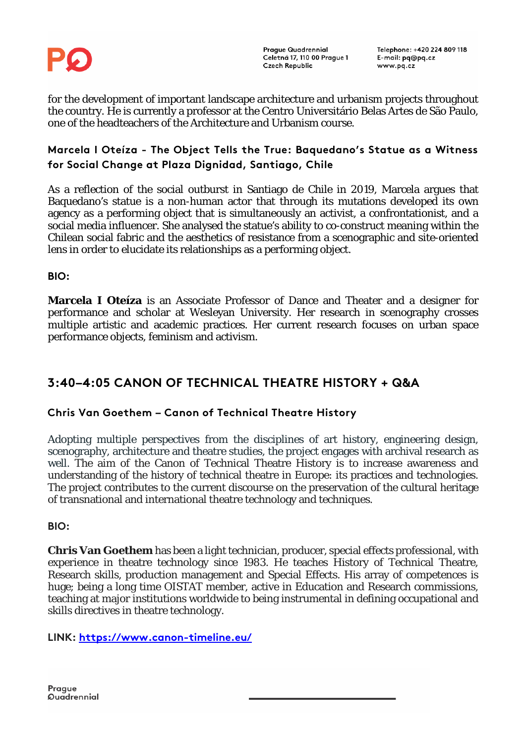

Telephone: +420 224 809 118 E-mail: pg@pg.cz www.pq.cz

for the development of important landscape architecture and urbanism projects throughout the country. He is currently a professor at the Centro Universitário Belas Artes de São Paulo, one of the headteachers of the Architecture and Urbanism course.

#### **Marcela I Oteíza - The Object Tells the True: Baquedano's Statue as a Witness for Social Change at Plaza Dignidad, Santiago, Chile**

As a reflection of the social outburst in Santiago de Chile in 2019, Marcela argues that Baquedano's statue is a non-human actor that through its mutations developed its own agency as a performing object that is simultaneously an activist, a confrontationist, and a social media influencer. She analysed the statue's ability to co-construct meaning within the Chilean social fabric and the aesthetics of resistance from a scenographic and site-oriented lens in order to elucidate its relationships as a performing object.

**BIO:**

**Marcela I Oteíza** is an Associate Professor of Dance and Theater and a designer for performance and scholar at Wesleyan University. Her research in scenography crosses multiple artistic and academic practices. Her current research focuses on urban space performance objects, feminism and activism.

### **3:40–4:05 CANON OF TECHNICAL THEATRE HISTORY + Q&A**

#### **Chris Van Goethem – Canon of Technical Theatre History**

Adopting multiple perspectives from the disciplines of art history, engineering design, scenography, architecture and theatre studies, the project engages with archival research as well. The aim of the Canon of Technical Theatre History is to increase awareness and understanding of the history of technical theatre in Europe: its practices and technologies. The project contributes to the current discourse on the preservation of the cultural heritage of transnational and international theatre technology and techniques.

**BIO:** 

**Chris Van Goethem** has been a light technician, producer, special effects professional, with experience in theatre technology since 1983. He teaches History of Technical Theatre, Research skills, production management and Special Effects. His array of competences is huge; being a long time OISTAT member, active in Education and Research commissions, teaching at major institutions worldwide to being instrumental in defining occupational and skills directives in theatre technology.

**LINK:<https://www.canon-timeline.eu/>**